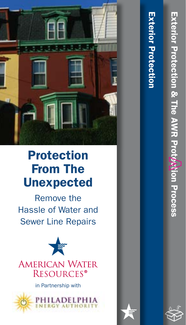

# Protection From The Unexpected

Remove the Hassle of Water and Sewer Line Repairs



in Partnership with



# Exterior Protection **Exterior Protection**

Exterior Protection & The AWR Protection Process

Exterior Protection & The AWR Prot*perion Process* 

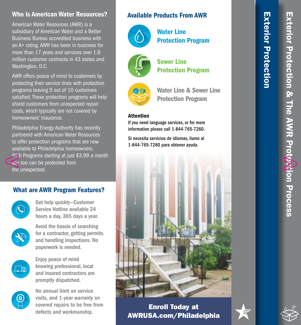### Who is American Water Resources?

American Water Resources (AWR) is a subsidiary of American Water and a Better Business Bureau accredited business with an A+ rating. AWR has been in business for more than 17 years and services over 1.8 million customer contracts in 43 states and Washington, D.C.

AWR offers peace of mind to customers by protecting their service lines with protection programs leaving 9 out of 10 customers satisfied. These protection programs will help shield customers from unexpected repair costs, which typically are not covered by homeowners' insurance.

Philadelphia Energy Authority has recently partnered with American Water Resources to offer protection programs that are now available to Philadelphia homeowners. With Programs starting at just \$3.99 a month you too can be protected from the unexpected.

## What are AWR Program Features?



Get help quickly—Customer Service Hotline available 24 hours a day, 365 days a year.



Avoid the hassle of searching for a contractor, getting permits and handling inspections. No paperwork is needed.



Enjoy peace of mind knowing professional, local and insured contractors are promptly dispatched.



No annual limit on service visits, and 1-year warranty on covered repairs to be free from defects and workmanship.

### Available Products From AWR



Water Line Protection Program



Sewer Line Protection Program



Water Line & Sewer Line Protection Program

### Attention

If you need language services, or for more information please call 1-844-765-7260.

Si necesita servicios de idiomas, llame al 1-844-765-7260 para obtener ayuda.



Enroll Today at AWRUSA.com/Philadelphia Exterior Protection

**Exterior Protection** 

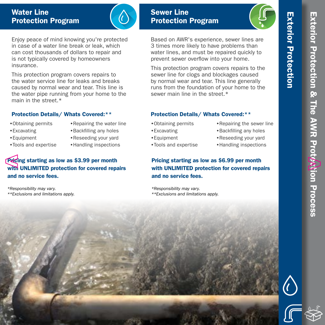Exterior Protection

**Exterior Protection** 

# Water Line Protection Program



Enjoy peace of mind knowing you're protected in case of a water line break or leak, which can cost thousands of dollars to repair and is not typically covered by homeowners insurance.

This protection program covers repairs to the water service line for leaks and breaks caused by normal wear and tear. This line is the water pipe running from your home to the main in the street.\*

### Protection Details/ Whats Covered:\*\*

- •Obtaining permits
- •Excavating
- •Equipment
- •Tools and expertise
- •Repairing the water line •Backfilling any holes
- •Reseeding your yard
- •Handling inspections

# Pricing starting as low as \$3.99 per month with UNLIMITED protection for covered repairs and no service fees.

\*Responsibility may vary. \*\*Exclusions and limitations apply.

# Sewer Line Protection Program

Based on AWR's experience, sewer lines are 3 times more likely to have problems than water lines, and must be repaired quickly to prevent sewer overflow into your home.

This protection program covers repairs to the sewer line for clogs and blockages caused by normal wear and tear. This line generally runs from the foundation of your home to the sewer main line in the street  $*$ 

### Protection Details/ Whats Covered:\*\*

- •Obtaining permits
- •Excavating
- •Equipment
- •Tools and expertise
- •Repairing the sewer line
- •Backfilling any holes •Reseeding your yard
- •Handling inspections

Pricing starting as low as \$6.99 per month with UNLIMITED protection for covered repairs and no service fees.

\*Responsibility may vary. \*\*Exclusions and limitations apply.



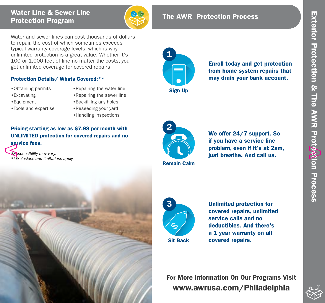# Water Line & Sewer Line **Protection Program** ( $\overrightarrow{CP}$  The AWR Protection Process

Water and sewer lines can cost thousands of dollars to repair, the cost of which sometimes exceeds typical warranty coverage levels, which is why unlimited protection is a great value. Whether it's 100 or 1,000 feet of line no matter the costs, you get unlimited coverage for covered repairs.

### Protection Details/ Whats Covered:\*\*

- •Obtaining permits
- •Repairing the water line

- •Excavating
- •Equipment
- •Tools and expertise
- •Repairing the sewer line •Backfilling any holes
- •Reseeding your yard
- •Handling inspections

## Pricing starting as low as \$7.98 per month with UNLIMITED protection for covered repairs and no service fees.

\*Responsibility may vary. \*\*Exclusions and limitations apply.



from home system repairs that may drain your bank account.

Remain Calm 2

We offer 24/7 support. So if you have a service line problem, even if it's at 2am, just breathe. And call us.





Unlimited protection for covered repairs, unlimited service calls and no deductibles. And there's a 1 year warranty on all covered repairs.

For More Information On Our Programs Visit www.awrusa.com/Philadelphia